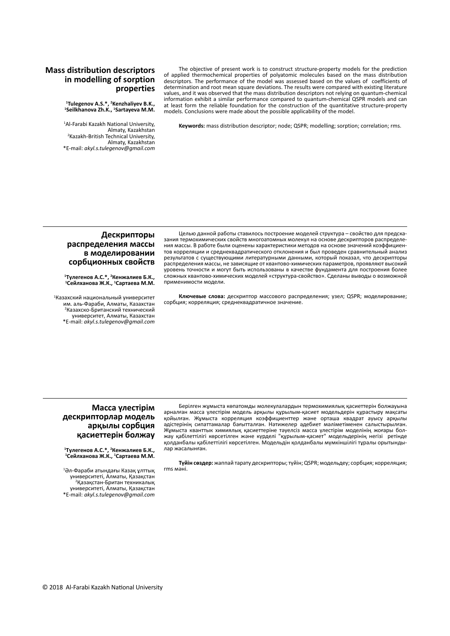# **Mass distribution descriptors in modelling of sorption properties**

<sup>1</sup> Tulegenov A.S.\*, <sup>2</sup> Kenzhaliyev B.K.,<br><sup>1</sup> Seilkhanova Zh K <sup>1</sup> Sartayeva M.M **Seilkhanova Zh.K., 1 Sartayeva M.M.**

1 Al-Farabi Kazakh National University, Almaty, Kazakhstan<br>2Kazakh-British Technical University, Almaty, Kazakhstan \*E-mail: *akyl.s.tulegenov@gmail.com*

The objective of present work is to construct structure-property models for the prediction of applied thermochemical properties of polyatomic molecules based on the mass distribution descriptors. The performance of the model was assessed based on the values of coefficients of determination and root mean square deviations. The results were compared with existing literature values, and it was observed that the mass distribution descriptors not relying on quantum-chemical information exhibit a similar performance compared to quantum-chemical QSPR models and can at least form the reliable foundation for the construction of the quantitative structure-property models. Conclusions were made about the possible applicability of the model.

**Keywords:** mass distribution descriptor; node; QSPR; modelling; sorption; correlation; rms.

### **Дескрипторы распределения массы в моделировании сорбционных свойств**

**1 Тулегенов А.С.\*, <sup>2</sup> Кенжалиев Б.К., <sup>1</sup> Сейлханова Ж.К., <sup>1</sup> Сартаева М.М.**

1 Казахский национальный университет им. аль-Фараби, Алматы, Казахстан 2 Казахско-Британский технический университет, Алматы, Казахстан \*E-mail: *akyl.s.tulegenov@gmail.com*

Целью данной работы ставилось построение моделей структура – свойство для предсказания термохимических свойств многоатомных молекул на основе дескрипторов распределения массы. В работе были оценены характеристики методов на основе значений коэффициентов корреляции и среднеквадратического отклонения и был проведен сравнительный анализ результатов с существующими литературными данными, который показал, что дескрипторы распределения массы, не зависящие от квантово-химических параметров, проявляют высокий уровень точности и могут быть использованы в качестве фундамента для построения более сложных квантово-химических моделей «структура-свойство». Сделаны выводы о возможной применимости модели.

**Ключевые слова:** дескриптор массового распределения; узел; QSPR; моделирование; сорбция; корреляция; среднеквадратичное значение.

## **Масса үлестірім дескрипторлар модель арқылы сорбция қасиеттерін болжау**

**1 Тулегенов А.С.\*, <sup>2</sup> Кенжалиев Б.К., <sup>1</sup> Сейлханова Ж.К., <sup>1</sup> Сартаева М.М.**

1 Әл-Фараби атындағы Казақ ұлттық университеті, Алматы, Қазақстан <sup>2</sup> Қазақстан-Британ техникалық университеті, Алматы, Қазақстан \*E-mail: *akyl.s.tulegenov@gmail.com*

Берілген жұмыста көпатомды молекулалардын термохимиялық қасиеттерін болжауына арналған масса үлестірім модель арқылы құрылым-қасиет модельдерін құрастыру мақсаты қойылған. Жұмыста корреляция коэффициенттер және орташа квадрат ауысу арқылы әдістерінің сипаттамалар бағытталған. Нәтижелер әдебиет мәліметіменен салыстырылған. Жұмыста кванттык химиялық қасиеттеріне тәуелсіз масса үлестірім моделінің жоғары болжау қабілеттілігі көрсетілген және күрделі "құрылым-қасиет" модельдерінің негізі ретінде қолданбалы қабілеттілігі көрсетілген. Модельдін қолданбалы мүмкіншілігі тұралы орытындылар жасалынған.

**Түйін сөздер:** жаппай тарату дескрипторы; түйін; QSPR; модельдеу; сорбция; корреляция; rms мәні.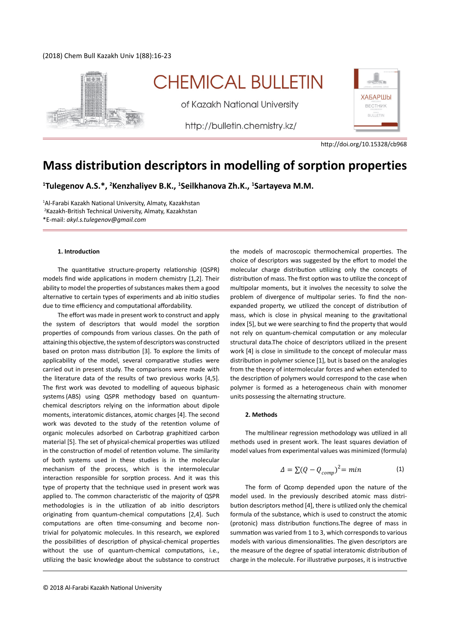# (2018) Chem Bull Kazakh Univ 1(88):16-23



# **CHEMICAL BULLETIN**

of Kazakh National University

http://bulletin.chemistry.kz/



http://doi.org/10.15328/cb968

# **Mass distribution descriptors in modelling of sorption properties**

**1 Tulegenov A.S.\*, 2 Kenzhaliyev B.K., 1 Seilkhanova Zh.K., 1 Sartayeva M.M.**

1 Al-Farabi Kazakh National University, Almaty, Kazakhstan 2 Kazakh-British Technical University, Almaty, Kazakhstan \*E-mail: *akyl.s.tulegenov@gmail.com*

#### **1. Introduction**

The quantitative structure-property relationship (QSPR) models find wide applications in modern chemistry [1,2]. Their ability to model the properties of substances makes them a good alternative to certain types of experiments and ab initio studies due to time efficiency and computational affordability.

The effort was made in present work to construct and apply the system of descriptors that would model the sorption properties of compounds from various classes. On the path of attaining this objective, the system of descriptors was constructed based on proton mass distribution [3]. To explore the limits of applicability of the model, several comparative studies were carried out in present study. The comparisons were made with the literature data of the results of two previous works [4,5]. The first work was devoted to modelling of aqueous biphasic systems (ABS) using QSPR methodogy based on quantumchemical descriptors relying on the information about dipole moments, interatomic distances, atomic charges [4]. The second work was devoted to the study of the retention volume of organic molecules adsorbed on Carbotrap graphitized carbon material [5]. The set of physical-chemical properties was utilized in the construction of model of retention volume. The similarity of both systems used in these studies is in the molecular mechanism of the process, which is the intermolecular interaction responsible for sorption process. And it was this type of property that the technique used in present work was applied to. The common characteristic of the majority of QSPR methodologies is in the utilization of ab initio descriptors originating from quantum-chemical computations [2,4]. Such computations are often time-consuming and become nontrivial for polyatomic molecules. In this research, we explored the possibilities of description of physical-chemical properties without the use of quantum-chemical computations, i.e., utilizing the basic knowledge about the substance to construct

choice of descriptors was suggested by the effort to model the molecular charge distribution utilizing only the concepts of distribution of mass. The first option was to utilize the concept of multipolar moments, but it involves the necessity to solve the problem of divergence of multipolar series. To find the nonexpanded property, we utilized the concept of distribution of mass, which is close in physical meaning to the gravitational index [5], but we were searching to find the property that would not rely on quantum-chemical computation or any molecular structural data.The choice of descriptors utilized in the present work [4] is close in similitude to the concept of molecular mass distribution in polymer science [1], but is based on the analogies from the theory of intermolecular forces and when extended to the description of polymers would correspond to the case when polymer is formed as a heterogeneous chain with monomer units possessing the alternating structure.

the models of macroscopic thermochemical properties. The

#### **2. Methods**

The multilinear regression methodology was utilized in all methods used in present work. The least squares deviation of model values from experimental values was minimized (formula)

$$
\Delta = \sum (Q - Q_{comp})^2 = min \tag{1}
$$

The form of Qcomp depended upon the nature of the model used. In the previously described atomic mass distribution descriptors method [4], there is utilized only the chemical formula of the substance, which is used to construct the atomic (protonic) mass distribution functions.The degree of mass in summation was varied from 1 to 3, which corresponds to various models with various dimensionalities. The given descriptors are the measure of the degree of spatial interatomic distribution of charge in the molecule. For illustrative purposes, it is instructive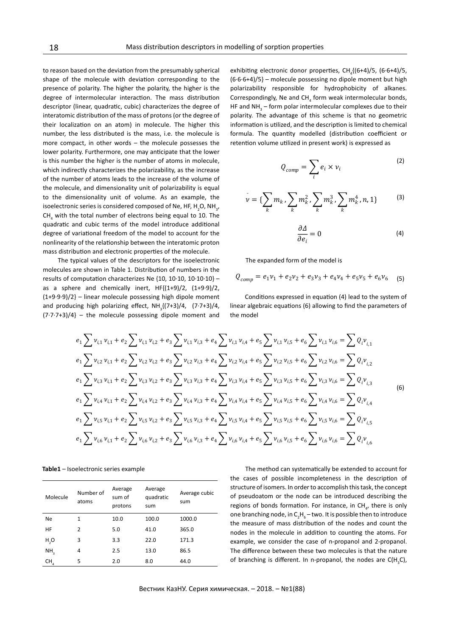to reason based on the deviation from the presumably spherical shape of the molecule with deviation corresponding to the presence of polarity. The higher the polarity, the higher is the degree of intermolecular interaction. The mass distribution descriptor (linear, quadratic, cubic) characterizes the degree of interatomic distribution of the mass of protons (or the degree of their localization on an atom) in molecule. The higher this number, the less distributed is the mass, i.e. the molecule is more compact, in other words – the molecule possesses the lower polarity. Furthermore, one may anticipate that the lower is this number the higher is the number of atoms in molecule, which indirectly characterizes the polarizability, as the increase of the number of atoms leads to the increase of the volume of the molecule, and dimensionality unit of polarizability is equal to the dimensionality unit of volume. As an example, the isoelectronic series is considered composed of Ne, HF, H<sub>2</sub>O, NH<sub>3</sub>,  $CH<sub>4</sub>$  with the total number of electrons being equal to 10. The quadratic and cubic terms of the model introduce additional degree of variational freedom of the model to account for the nonlinearity of the relationship between the interatomic proton mass distribution and electronic properties of the molecule.

The typical values of the descriptors for the isoelectronic molecules are shown in Table 1. Distribution of numbers in the results of computation characterizes Ne {10, 10·10, 10·10·10} – as a sphere and chemically inert,  $HF{(1+9)/2, (1+9.9)/2}$ ,  $(1+9.9.9)/2$  – linear molecule possessing high dipole moment and producing high polarizing effect,  $NH_3\{(7+3)/4, (7\cdot7+3)/4,$  $(7.7.7+3)/4$  – the molecule possessing dipole moment and

exhibiting electronic donor properties,  $CH<sub>4</sub>$ {(6+4)/5, (6·6+4)/5, (6·6·6+4)/5} – molecule possessing no dipole moment but high polarizability responsible for hydrophobicity of alkanes. Correspondingly, Ne and  $CH<sub>4</sub>$  form weak intermolecular bonds, HF and  $NH<sub>3</sub>$  – form polar intermolecular complexes due to their polarity. The advantage of this scheme is that no geometric information is utilized, and the description is limited to chemical formula. The quantity modelled (distribution coefficient or retention volume utilized in present work) is expressed as

$$
Q_{comp} = \sum_{i} e_i \times \nu_i
$$
 (2)

$$
\nu = \{\sum_{k} m_{k}, \sum_{k} m_{k}^{2}, \sum_{k} m_{k}^{3}, \sum_{k} m_{k}^{4}, n, 1\}
$$
 (3)

$$
\frac{\partial \Delta}{\partial e_i} = 0 \tag{4}
$$

The expanded form of the model is

$$
Q_{comp} = e_1 v_1 + e_2 v_2 + e_3 v_3 + e_4 v_4 + e_5 v_5 + e_6 v_6
$$
 (5)

Conditions expressed in equation (4) lead to the system of linear algebraic equations (6) allowing to find the parameters of the model

$$
e_{1} \sum v_{i,1} v_{i,1} + e_{2} \sum v_{i,1} v_{i,2} + e_{3} \sum v_{i,1} v_{i,3} + e_{4} \sum v_{i,1} v_{i,4} + e_{5} \sum v_{i,1} v_{i,5} + e_{6} \sum v_{i,1} v_{i,6} = \sum Q_{i} v_{i,1}
$$
  
\n
$$
e_{1} \sum v_{i,2} v_{i,1} + e_{2} \sum v_{i,2} v_{i,2} + e_{3} \sum v_{i,2} v_{i,3} + e_{4} \sum v_{i,2} v_{i,4} + e_{5} \sum v_{i,2} v_{i,5} + e_{6} \sum v_{i,2} v_{i,6} = \sum Q_{i} v_{i,2}
$$
  
\n
$$
e_{1} \sum v_{i,3} v_{i,1} + e_{2} \sum v_{i,3} v_{i,2} + e_{3} \sum v_{i,3} v_{i,3} + e_{4} \sum v_{i,3} v_{i,4} + e_{5} \sum v_{i,3} v_{i,5} + e_{6} \sum v_{i,3} v_{i,6} = \sum Q_{i} v_{i,3}
$$
  
\n
$$
e_{1} \sum v_{i,4} v_{i,1} + e_{2} \sum v_{i,4} v_{i,2} + e_{3} \sum v_{i,4} v_{i,3} + e_{4} \sum v_{i,4} v_{i,4} + e_{5} \sum v_{i,4} v_{i,5} + e_{6} \sum v_{i,4} v_{i,6} = \sum Q_{i} v_{i,4}
$$
  
\n
$$
e_{1} \sum v_{i,5} v_{i,1} + e_{2} \sum v_{i,5} v_{i,2} + e_{3} \sum v_{i,5} v_{i,3} + e_{4} \sum v_{i,5} v_{i,4} + e_{5} \sum v_{i,5} v_{i,5} + e_{6} \sum v_{i,5} v_{i,6} = \sum Q_{i} v_{i,5}
$$
  
\n
$$
e_{1} \sum v_{i,6} v_{i,1} + e_{2} \sum v_{i,6} v_{i,2} + e_{3} \sum v_{i,6} v_{i,3} + e_{4} \sum v_{i,6} v_{i,4
$$

**Table1** – Isoelectronic series example

| Molecule        | Number of<br>atoms | Average<br>sum of<br>protons | Average<br>quadratic<br>sum | Average cubic<br>sum |
|-----------------|--------------------|------------------------------|-----------------------------|----------------------|
| <b>Ne</b>       | 1                  | 10.0                         | 100.0                       | 1000.0               |
| HF              | $\mathcal{P}$      | 5.0                          | 41.0                        | 365.0                |
| H,O             | 3                  | 3.3                          | 22.0                        | 171.3                |
| NH,             | 4                  | 2.5                          | 13.0                        | 86.5                 |
| CH <sub>4</sub> | 5                  | 2.0                          | 8.0                         | 44.0                 |

The method can systematically be extended to account for the cases of possible incompleteness in the description of structure of isomers. In order to accomplish this task, the concept of pseudoatom or the node can be introduced describing the regions of bonds formation. For instance, in  $CH_{4}$ , there is only one branching node, in  $C_2H_6$  – two. It is possible then to introduce the measure of mass distribution of the nodes and count the nodes in the molecule in addition to counting the atoms. For example, we consider the case of n-propanol and 2-propanol. The difference between these two molecules is that the nature of branching is different. In n-propanol, the nodes are  $C(H<sub>3</sub>C)$ ,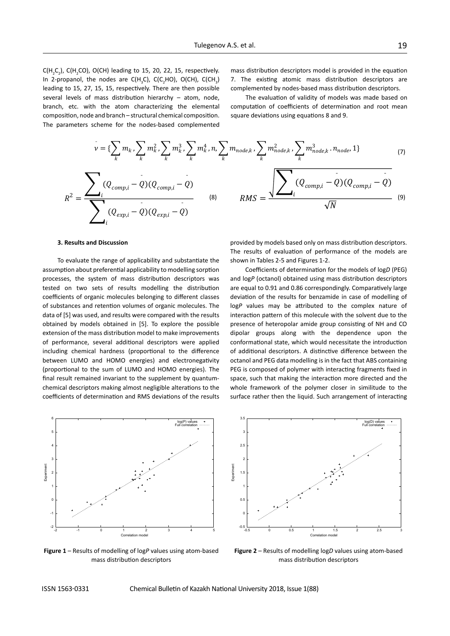$C(H_{2}C_{2})$ ,  $C(H_{2}CO)$ ,  $O(CH)$  leading to 15, 20, 22, 15, respectively. In 2-propanol, the nodes are  $C(H<sub>3</sub>C)$ ,  $C(C<sub>2</sub>HO)$ ,  $O(CH)$ ,  $C(CH<sub>3</sub>)$ leading to 15, 27, 15, 15, respectively. There are then possible several levels of mass distribution hierarchy – atom, node, branch, etc. with the atom characterizing the elemental composition, node and branch – structural chemical composition. The parameters scheme for the nodes-based complemented

mass distribution descriptors model is provided in the equation 7. The existing atomic mass distribution descriptors are complemented by nodes-based mass distribution descriptors.

The evaluation of validity of models was made based on computation of coefficients of determination and root mean ¯ ¯ square deviations using equations 8 and 9.

$$
v = \{\sum_{k} m_{k}, \sum_{k} m_{k}^{2}, \sum_{k} m_{k}^{3}, \sum_{k} m_{k}^{4}, n, \sum_{k} m_{node,k}, \sum_{k} m_{node,k}^{2}, \sum_{k} m_{node,k}^{3} \cdot n_{node,k} \} \quad (7)
$$
\n
$$
R^{2} = \frac{\sum_{i} (Q_{comp,i} - Q)(Q_{comp,i} - Q)}{\sum_{i} (Q_{exp,i} - Q)(Q_{exp,i} - Q)} \quad (8)
$$
\n
$$
RMS = \frac{\sqrt{\sum_{i} (Q_{comp,i} - Q)(Q_{comp,i} - Q)} \cdot n_{node,k} \cdot n_{node,k} \} \cdot (9)}{\sqrt{N}}
$$

#### **3. Results and Discussion**

To evaluate the range of applicability and substantiate the assumption about preferential applicability to modelling sorption processes, the system of mass distribution descriptors was tested on two sets of results modelling the distribution coefficients of organic molecules belonging to different classes of substances and retention volumes of organic molecules. The data of [5] was used, and results were compared with the results obtained by models obtained in [5]. To explore the possible extension of the mass distribution model to make improvements of performance, several additional descriptors were applied including chemical hardness (proportional to the difference between LUMO and HOMO energies) and electronegativity (proportional to the sum of LUMO and HOMO energies). The final result remained invariant to the supplement by quantumchemical descriptors making almost negligible alterations to the coefficients of determination and RMS deviations of the results וום<br>.



**Figure 1** – Results of modelling of log*P* values using atom-based mass distribution descriptors



Coefficients of determination for the models of log*D* (PEG) and log*P* (octanol) obtained using mass distribution descriptors are equal to 0.91 and 0.86 correspondingly. Comparatively large deviation of the results for benzamide in case of modelling of log*P* values may be attributed to the complex nature of interaction pattern of this molecule with the solvent due to the presence of heteropolar amide group consisting of NH and CO dipolar groups along with the dependence upon the conformational state, which would necessitate the introduction of additional descriptors. A distinctive difference between the octanol and PEG data modelling is in the fact that ABS containing PEG is composed of polymer with interacting fragments fixed in space, such that making the interaction more directed and the whole framework of the polymer closer in similitude to the surface rather then the liquid. Such arrangement of interacting



**Figure 2** – Results of modelling log*D* values using atom-based mass distribution descriptors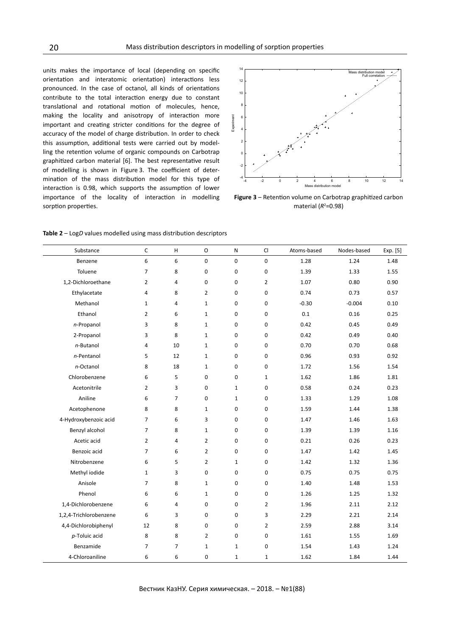units makes the importance of local (depending on specific orientation and interatomic orientation) interactions less pronounced. In the case of octanol, all kinds of orientations contribute to the total interaction energy due to constant translational and rotational motion of molecules, hence, making the locality and anisotropy of interaction more important and creating stricter conditions for the degree of accuracy of the model of charge distribution. In order to check this assumption, additional tests were carried out by modelling the retention volume of organic compounds on Carbotrap graphitized carbon material [6]. The best representative result of modelling is shown in Figure 3. The coefficient of determination of the mass distribution model for this type of interaction is 0.98, which supports the assumption of lower importance of the locality of interaction in modelling sorption properties.



**Figure 3** – Retention volume on Carbotrap graphitized carbon material ( $R^2$ =0.98)

| Substance              | $\mathsf C$    | $\mathsf H$    | $\mathsf O$      | ${\sf N}$        | CI                  | Atoms-based | Nodes-based | Exp. [5] |
|------------------------|----------------|----------------|------------------|------------------|---------------------|-------------|-------------|----------|
| Benzene                | 6              | 6              | 0                | $\pmb{0}$        | $\mathbf 0$         | 1.28        | 1.24        | 1.48     |
| Toluene                | $\overline{7}$ | 8              | $\pmb{0}$        | 0                | $\mathbf 0$         | 1.39        | 1.33        | 1.55     |
| 1,2-Dichloroethane     | $\overline{2}$ | $\overline{4}$ | $\mathbf 0$      | $\mathbf 0$      | $\overline{2}$      | 1.07        | 0.80        | 0.90     |
| Ethylacetate           | 4              | 8              | $\overline{2}$   | 0                | 0                   | 0.74        | 0.73        | 0.57     |
| Methanol               | $1\,$          | 4              | $1\,$            | 0                | 0                   | $-0.30$     | $-0.004$    | 0.10     |
| Ethanol                | $\overline{2}$ | 6              | $1\,$            | 0                | 0                   | 0.1         | 0.16        | 0.25     |
| n-Propanol             | 3              | 8              | $\mathbf{1}$     | 0                | $\boldsymbol{0}$    | 0.42        | 0.45        | 0.49     |
| 2-Propanol             | 3              | 8              | $\mathbf{1}$     | 0                | 0                   | 0.42        | 0.49        | 0.40     |
| n-Butanol              | $\overline{4}$ | 10             | $\mathbf 1$      | 0                | 0                   | 0.70        | 0.70        | 0.68     |
| n-Pentanol             | 5              | 12             | $\mathbf{1}$     | 0                | 0                   | 0.96        | 0.93        | 0.92     |
| n-Octanol              | 8              | 18             | $\mathbf{1}$     | 0                | 0                   | 1.72        | 1.56        | 1.54     |
| Chlorobenzene          | 6              | 5              | $\mathbf 0$      | $\mathbf 0$      | $\mathbf{1}$        | 1.62        | 1.86        | 1.81     |
| Acetonitrile           | $\overline{2}$ | 3              | 0                | $\mathbf 1$      | $\mathbf 0$         | 0.58        | 0.24        | 0.23     |
| Aniline                | 6              | $\overline{7}$ | $\mathbf 0$      | $\mathbf 1$      | $\mathbf 0$         | 1.33        | 1.29        | 1.08     |
| Acetophenone           | 8              | 8              | $\mathbf{1}$     | $\pmb{0}$        | $\mathsf{O}\xspace$ | 1.59        | 1.44        | 1.38     |
| 4-Hydroxybenzoic acid  | $\overline{7}$ | 6              | 3                | $\mathbf 0$      | $\mathbf 0$         | 1.47        | 1.46        | 1.63     |
| Benzyl alcohol         | $\overline{7}$ | 8              | $\mathbf 1$      | 0                | $\mathbf 0$         | 1.39        | 1.39        | 1.16     |
| Acetic acid            | $\overline{2}$ | 4              | $\overline{2}$   | $\mathbf 0$      | $\mathbf 0$         | 0.21        | 0.26        | 0.23     |
| Benzoic acid           | $\overline{7}$ | 6              | $\overline{2}$   | 0                | $\mathbf 0$         | 1.47        | 1.42        | 1.45     |
| Nitrobenzene           | 6              | 5              | $\overline{2}$   | $\mathbf{1}$     | 0                   | 1.42        | 1.32        | 1.36     |
| Methyl iodide          | $1\,$          | 3              | 0                | 0                | $\mathbf 0$         | 0.75        | 0.75        | 0.75     |
| Anisole                | $\overline{7}$ | 8              | $\mathbf{1}$     | 0                | $\mathsf 0$         | 1.40        | 1.48        | 1.53     |
| Phenol                 | 6              | 6              | $\mathbf{1}$     | 0                | $\mathsf 0$         | 1.26        | 1.25        | 1.32     |
| 1,4-Dichlorobenzene    | 6              | 4              | 0                | 0                | $\overline{2}$      | 1.96        | 2.11        | 2.12     |
| 1,2,4-Trichlorobenzene | 6              | 3              | $\boldsymbol{0}$ | $\pmb{0}$        | 3                   | 2.29        | 2.21        | 2.14     |
| 4,4-Dichlorobiphenyl   | 12             | 8              | 0                | 0                | $\overline{2}$      | 2.59        | 2.88        | 3.14     |
| p-Toluic acid          | 8              | 8              | $\overline{2}$   | $\boldsymbol{0}$ | $\mathsf 0$         | 1.61        | 1.55        | 1.69     |
| Benzamide              | $\overline{7}$ | $\overline{7}$ | $\mathbf{1}$     | $\mathbf{1}$     | 0                   | 1.54        | 1.43        | 1.24     |
| 4-Chloroaniline        | 6              | 6              | $\mathbf 0$      | $\mathbf{1}$     | $\mathbf{1}$        | 1.62        | 1.84        | 1.44     |

**Table 2** – Log*D* values modelled using mass distribution descriptors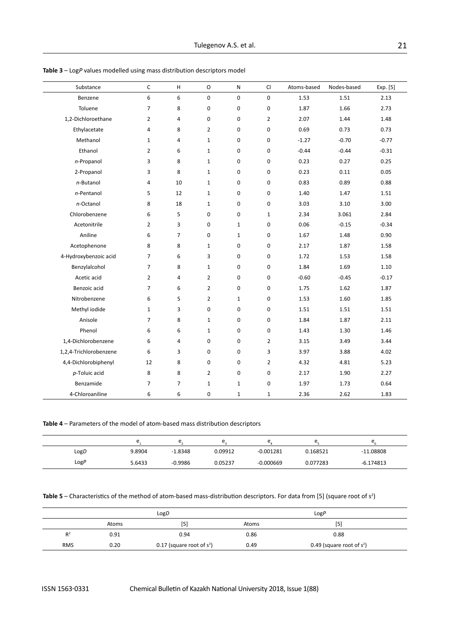| Substance              | C              | H              | $\circ$        | ${\sf N}$    | CI               | Atoms-based | Nodes-based | Exp. [5] |
|------------------------|----------------|----------------|----------------|--------------|------------------|-------------|-------------|----------|
| Benzene                | 6              | 6              | 0              | 0            | $\mathbf 0$      | 1.53        | 1.51        | 2.13     |
| Toluene                | $\overline{7}$ | 8              | $\mathbf 0$    | $\pmb{0}$    | $\pmb{0}$        | 1.87        | 1.66        | 2.73     |
| 1,2-Dichloroethane     | $\overline{2}$ | 4              | 0              | 0            | $\overline{2}$   | 2.07        | 1.44        | 1.48     |
| Ethylacetate           | $\overline{4}$ | 8              | $\overline{2}$ | 0            | $\mathbf 0$      | 0.69        | 0.73        | 0.73     |
| Methanol               | $\mathbf{1}$   | 4              | $\mathbf{1}$   | 0            | 0                | $-1.27$     | $-0.70$     | $-0.77$  |
| Ethanol                | $\overline{2}$ | 6              | $\mathbf{1}$   | 0            | 0                | $-0.44$     | $-0.44$     | $-0.31$  |
| n-Propanol             | 3              | 8              | $1\,$          | 0            | 0                | 0.23        | 0.27        | 0.25     |
| 2-Propanol             | 3              | 8              | $\mathbf{1}$   | 0            | $\pmb{0}$        | 0.23        | 0.11        | 0.05     |
| n-Butanol              | $\overline{4}$ | 10             | $\mathbf{1}$   | 0            | 0                | 0.83        | 0.89        | 0.88     |
| n-Pentanol             | 5              | 12             | $\mathbf{1}$   | 0            | 0                | 1.40        | 1.47        | 1.51     |
| n-Octanol              | 8              | 18             | $\mathbf{1}$   | 0            | $\boldsymbol{0}$ | 3.03        | 3.10        | 3.00     |
| Chlorobenzene          | 6              | 5              | 0              | 0            | $\mathbf{1}$     | 2.34        | 3.061       | 2.84     |
| Acetonitrile           | $\overline{2}$ | 3              | 0              | $\mathbf{1}$ | 0                | 0.06        | $-0.15$     | $-0.34$  |
| Aniline                | 6              | $\overline{7}$ | 0              | $\mathbf{1}$ | 0                | 1.67        | 1.48        | 0.90     |
| Acetophenone           | 8              | 8              | $\mathbf{1}$   | 0            | $\pmb{0}$        | 2.17        | 1.87        | 1.58     |
| 4-Hydroxybenzoic acid  | $\overline{7}$ | 6              | 3              | 0            | 0                | 1.72        | 1.53        | 1.58     |
| Benzylalcohol          | $\overline{7}$ | 8              | $\mathbf{1}$   | 0            | 0                | 1.84        | 1.69        | 1.10     |
| Acetic acid            | $\overline{2}$ | $\overline{4}$ | $\overline{2}$ | 0            | 0                | $-0.60$     | $-0.45$     | $-0.17$  |
| Benzoic acid           | $\overline{7}$ | 6              | $\overline{2}$ | $\pmb{0}$    | 0                | 1.75        | 1.62        | 1.87     |
| Nitrobenzene           | 6              | 5              | $\overline{2}$ | $\mathbf{1}$ | 0                | 1.53        | 1.60        | 1.85     |
| Methyl iodide          | $\mathbf{1}$   | 3              | $\pmb{0}$      | $\pmb{0}$    | $\boldsymbol{0}$ | 1.51        | 1.51        | 1.51     |
| Anisole                | $\overline{7}$ | 8              | $\mathbf{1}$   | $\pmb{0}$    | 0                | 1.84        | 1.87        | 2.11     |
| Phenol                 | 6              | 6              | $\mathbf{1}$   | $\pmb{0}$    | 0                | 1.43        | 1.30        | 1.46     |
| 1,4-Dichlorobenzene    | 6              | 4              | 0              | $\pmb{0}$    | $\overline{2}$   | 3.15        | 3.49        | 3.44     |
| 1,2,4-Trichlorobenzene | 6              | 3              | $\pmb{0}$      | $\pmb{0}$    | 3                | 3.97        | 3.88        | 4.02     |
| 4,4-Dichlorobiphenyl   | 12             | 8              | 0              | $\pmb{0}$    | $\overline{2}$   | 4.32        | 4.81        | 5.23     |
| p-Toluic acid          | 8              | 8              | $\overline{2}$ | $\pmb{0}$    | 0                | 2.17        | 1.90        | 2.27     |
| Benzamide              | $\overline{7}$ | $\overline{7}$ | $\mathbf{1}$   | 1            | 0                | 1.97        | 1.73        | 0.64     |
| 4-Chloroaniline        | 6              | 6              | $\mathbf 0$    | 1            | $\mathbf 1$      | 2.36        | 2.62        | 1.83     |

**Table 3** – Log*P* values modelled using mass distribution descriptors model

**Table 4** – Parameters of the model of atom-based mass distribution descriptors

|      |        | $\sim$<br><u>. . </u> |         | ◡           |          | $\sim$<br>◡ |
|------|--------|-----------------------|---------|-------------|----------|-------------|
| LogD | 9.8904 | $-1.8348$             | 0.09912 | $-0.001281$ | 0.168521 | $-11.08808$ |
| LogP | 5.6433 | $-0.9986$             | 0.05237 | $-0.000669$ | 0.077283 | $-6.174813$ |

| <b>Table 5</b> – Characteristics of the method of atom-based mass-distribution descriptors. For data from [5] (square root of $s^2$ ) |  |
|---------------------------------------------------------------------------------------------------------------------------------------|--|
|---------------------------------------------------------------------------------------------------------------------------------------|--|

|                |       | LogD                         |       | LogP                         |  |  |
|----------------|-------|------------------------------|-------|------------------------------|--|--|
|                | Atoms | [5]                          | Atoms | [5                           |  |  |
| R <sup>2</sup> | 0.91  | 0.94                         | 0.86  | 0.88                         |  |  |
| <b>RMS</b>     | 0.20  | 0.17 (square root of $s^2$ ) | 0.49  | 0.49 (square root of $s^2$ ) |  |  |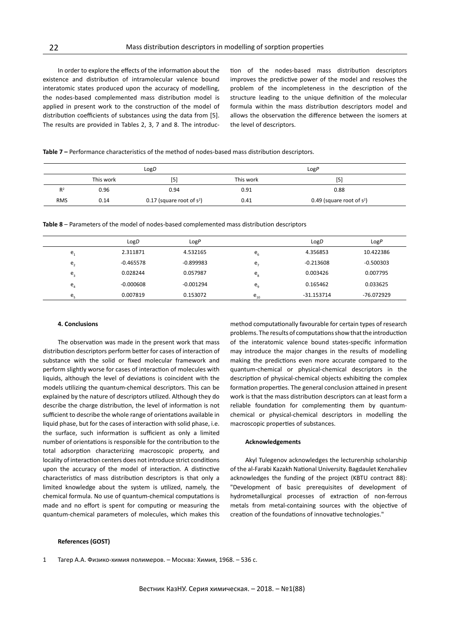In order to explore the effects of the information about the existence and distribution of intramolecular valence bound interatomic states produced upon the accuracy of modelling, the nodes-based complemented mass distribution model is applied in present work to the construction of the model of distribution coefficients of substances using the data from [5]. The results are provided in Tables 2, 3, 7 and 8. The introduction of the nodes-based mass distribution descriptors improves the predictive power of the model and resolves the problem of the incompleteness in the description of the structure leading to the unique definition of the molecular formula within the mass distribution descriptors model and allows the observation the difference between the isomers at the level of descriptors.

**Table 7 –** Performance characteristics of the method of nodes-based mass distribution descriptors.

|            |           | LogD                         |           | LogP                         |  |  |
|------------|-----------|------------------------------|-----------|------------------------------|--|--|
|            | This work | $[5]$                        | This work | [5]                          |  |  |
| $R^2$      | 0.96      | 0.94                         | 0.91      | 0.88                         |  |  |
| <b>RMS</b> | 0.14      | 0.17 (square root of $s^2$ ) | 0.41      | 0.49 (square root of $s^2$ ) |  |  |

**Table 8** – Parameters of the model of nodes-based complemented mass distribution descriptors

|                | LogD        | LogP        |                             | LogD         | LogP        |
|----------------|-------------|-------------|-----------------------------|--------------|-------------|
| e,             | 2.311871    | 4.532165    | $e_{\scriptscriptstyle 6}$  | 4.356853     | 10.422386   |
| e <sub>2</sub> | $-0.465578$ | $-0.899983$ | e.                          | $-0.213608$  | $-0.500303$ |
| $e_{3}$        | 0.028244    | 0.057987    | $e_{s}$                     | 0.003426     | 0.007795    |
| $e_{4}$        | $-0.000608$ | $-0.001294$ | $e_{\scriptscriptstyle{9}}$ | 0.165462     | 0.033625    |
| e              | 0.007819    | 0.153072    | $e_{_{10}}$                 | $-31.153714$ | -76.072929  |

#### **4. Conclusions**

The observation was made in the present work that mass distribution descriptors perform better for cases of interaction of substance with the solid or fixed molecular framework and perform slightly worse for cases of interaction of molecules with liquids, although the level of deviations is coincident with the models utilizing the quantum-chemical descriptors. This can be explained by the nature of descriptors utilized. Although they do describe the charge distribution, the level of information is not sufficient to describe the whole range of orientations available in liquid phase, but for the cases of interaction with solid phase, i.e. the surface, such information is sufficient as only a limited number of orientations is responsible for the contribution to the total adsorption characterizing macroscopic property, and locality of interaction centers does not introduce strict conditions upon the accuracy of the model of interaction. A distinctive characteristics of mass distribution descriptors is that only a limited knowledge about the system is utilized, namely, the chemical formula. No use of quantum-chemical computations is made and no effort is spent for computing or measuring the quantum-chemical parameters of molecules, which makes this

method computationally favourable for certain types of research problems. The results of computations show that the introduction of the interatomic valence bound states-specific information may introduce the major changes in the results of modelling making the predictions even more accurate compared to the quantum-chemical or physical-chemical descriptors in the description of physical-chemical objects exhibiting the complex formation properties. The general conclusion attained in present work is that the mass distribution descriptors can at least form a reliable foundation for complementing them by quantumchemical or physical-chemical descriptors in modelling the macroscopic properties of substances.

#### **Acknowledgements**

Akyl Tulegenov acknowledges the lecturership scholarship of the al-Farabi Kazakh National University. Bagdaulet Kenzhaliev acknowledges the funding of the project (KBTU contract 88): "Development of basic prerequisites of development of hydrometallurgical processes of extraction of non-ferrous metals from metal-containing sources with the objective of creation of the foundations of innovative technologies."

#### **References (GOST)**

1 Тагер A.A. Физико-химия полимеров. – Москва: Химия, 1968. – 536 с.